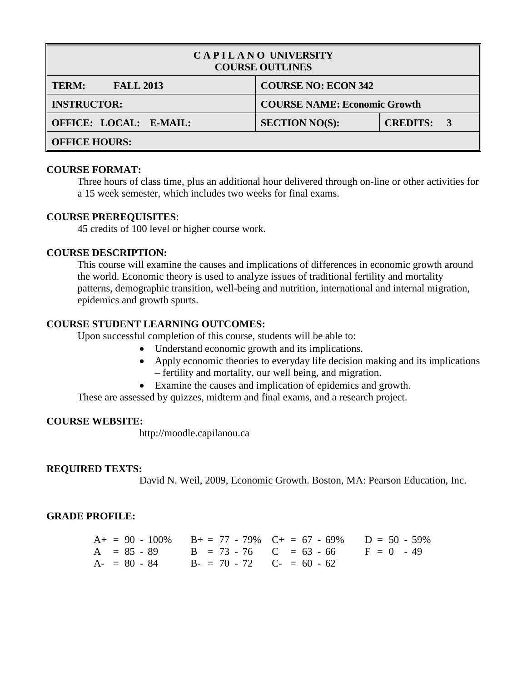| <b>CAPILANO UNIVERSITY</b><br><b>COURSE OUTLINES</b> |                                     |                 |  |
|------------------------------------------------------|-------------------------------------|-----------------|--|
| <b>TERM:</b><br><b>FALL 2013</b>                     | <b>COURSE NO: ECON 342</b>          |                 |  |
| <b>INSTRUCTOR:</b>                                   | <b>COURSE NAME: Economic Growth</b> |                 |  |
| OFFICE: LOCAL: E-MAIL:                               | <b>SECTION NO(S):</b>               | <b>CREDITS:</b> |  |
| <b>OFFICE HOURS:</b>                                 |                                     |                 |  |

## **COURSE FORMAT:**

Three hours of class time, plus an additional hour delivered through on-line or other activities for a 15 week semester, which includes two weeks for final exams.

## **COURSE PREREQUISITES**:

45 credits of 100 level or higher course work.

## **COURSE DESCRIPTION:**

This course will examine the causes and implications of differences in economic growth around the world. Economic theory is used to analyze issues of traditional fertility and mortality patterns, demographic transition, well-being and nutrition, international and internal migration, epidemics and growth spurts.

# **COURSE STUDENT LEARNING OUTCOMES:**

Upon successful completion of this course, students will be able to:

- Understand economic growth and its implications.
- Apply economic theories to everyday life decision making and its implications – fertility and mortality, our well being, and migration.
- Examine the causes and implication of epidemics and growth.

These are assessed by quizzes, midterm and final exams, and a research project.

## **COURSE WEBSITE:**

http://moodle.capilanou.ca

### **REQUIRED TEXTS:**

David N. Weil, 2009, Economic Growth. Boston, MA: Pearson Education, Inc.

### **GRADE PROFILE:**

|  |                                           | $A_+ = 90 - 100\%$ $B_+ = 77 - 79\%$ $C_+ = 67 - 69\%$ $D = 50 - 59\%$ |  |
|--|-------------------------------------------|------------------------------------------------------------------------|--|
|  |                                           | $A = 85 - 89$ $B = 73 - 76$ $C = 63 - 66$ $F = 0 - 49$                 |  |
|  | $A = 80 - 84$ $B = 70 - 72$ $C = 60 - 62$ |                                                                        |  |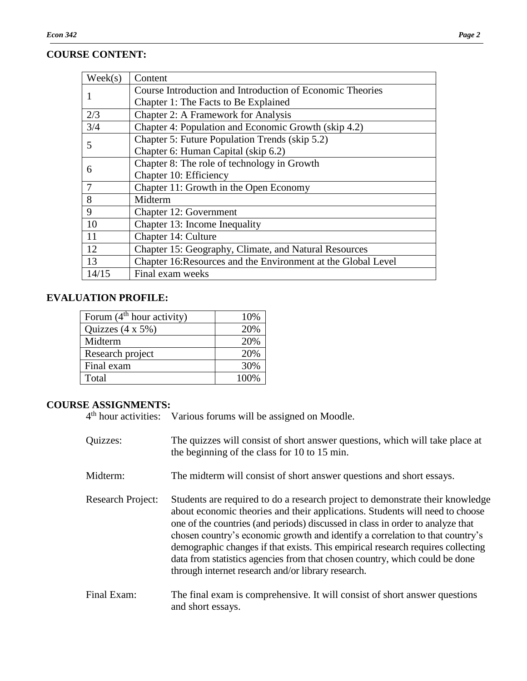# **COURSE CONTENT:**

| Week(s) | Content                                                       |
|---------|---------------------------------------------------------------|
|         | Course Introduction and Introduction of Economic Theories     |
|         | Chapter 1: The Facts to Be Explained                          |
| 2/3     | Chapter 2: A Framework for Analysis                           |
| 3/4     | Chapter 4: Population and Economic Growth (skip 4.2)          |
| 5       | Chapter 5: Future Population Trends (skip 5.2)                |
|         | Chapter 6: Human Capital (skip 6.2)                           |
| 6       | Chapter 8: The role of technology in Growth                   |
|         | Chapter 10: Efficiency                                        |
| 7       | Chapter 11: Growth in the Open Economy                        |
| 8       | Midterm                                                       |
| 9       | Chapter 12: Government                                        |
| 10      | Chapter 13: Income Inequality                                 |
| 11      | Chapter 14: Culture                                           |
| 12      | Chapter 15: Geography, Climate, and Natural Resources         |
| 13      | Chapter 16: Resources and the Environment at the Global Level |
| 14/15   | Final exam weeks                                              |

# **EVALUATION PROFILE:**

| Forum $(4th hour activity)$ | 10%  |
|-----------------------------|------|
| Quizzes $(4 \times 5\%)$    | 20%  |
| Midterm                     | 20%  |
| Research project            | 20%  |
| Final exam                  | 30%  |
| Total                       | 100% |

# **COURSE ASSIGNMENTS:**

4<sup>th</sup> hour activities: Various forums will be assigned on Moodle.

| Quizzes:                 | The quizzes will consist of short answer questions, which will take place at<br>the beginning of the class for 10 to 15 min.                                                                                                                                                                                                                                                                                                                                                                                                                             |
|--------------------------|----------------------------------------------------------------------------------------------------------------------------------------------------------------------------------------------------------------------------------------------------------------------------------------------------------------------------------------------------------------------------------------------------------------------------------------------------------------------------------------------------------------------------------------------------------|
| Midterm:                 | The midterm will consist of short answer questions and short essays.                                                                                                                                                                                                                                                                                                                                                                                                                                                                                     |
| <b>Research Project:</b> | Students are required to do a research project to demonstrate their knowledge<br>about economic theories and their applications. Students will need to choose<br>one of the countries (and periods) discussed in class in order to analyze that<br>chosen country's economic growth and identify a correlation to that country's<br>demographic changes if that exists. This empirical research requires collecting<br>data from statistics agencies from that chosen country, which could be done<br>through internet research and/or library research. |
| Final Exam:              | The final exam is comprehensive. It will consist of short answer questions<br>and short essays.                                                                                                                                                                                                                                                                                                                                                                                                                                                          |